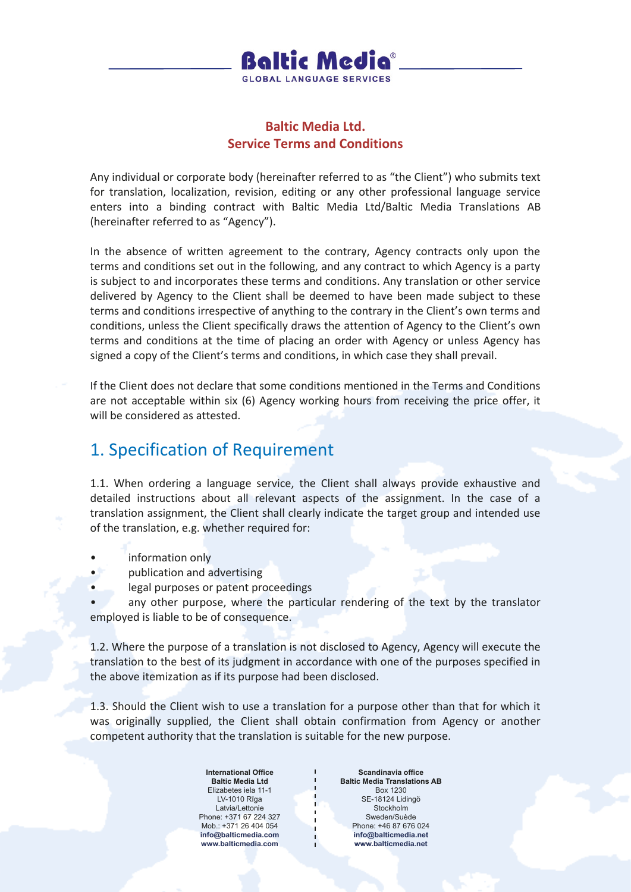

#### **Baltic Media Ltd. Service Terms and Conditions**

Any individual or corporate body (hereinafter referred to as "the Client") who submits text for translation, localization, revision, editing or any other professional language service enters into a binding contract with Baltic Media Ltd/Baltic Media Translations AB (hereinafter referred to as "Agency").

In the absence of written agreement to the contrary, Agency contracts only upon the terms and conditions set out in the following, and any contract to which Agency is a party is subject to and incorporates these terms and conditions. Any translation or other service delivered by Agency to the Client shall be deemed to have been made subject to these terms and conditions irrespective of anything to the contrary in the Client's own terms and conditions, unless the Client specifically draws the attention of Agency to the Client's own terms and conditions at the time of placing an order with Agency or unless Agency has signed a copy of the Client's terms and conditions, in which case they shall prevail.

If the Client does not declare that some conditions mentioned in the Terms and Conditions are not acceptable within six (6) Agency working hours from receiving the price offer, it will be considered as attested.

## 1. Specification of Requirement

1.1. When ordering a language service, the Client shall always provide exhaustive and detailed instructions about all relevant aspects of the assignment. In the case of a translation assignment, the Client shall clearly indicate the target group and intended use of the translation, e.g. whether required for:

- information only
- publication and advertising
- legal purposes or patent proceedings

any other purpose, where the particular rendering of the text by the translator employed is liable to be of consequence.

1.2. Where the purpose of a translation is not disclosed to Agency, Agency will execute the translation to the best of its judgment in accordance with one of the purposes specified in the above itemization as if its purpose had been disclosed.

1.3. Should the Client wish to use a translation for a purpose other than that for which it was originally supplied, the Client shall obtain confirmation from Agency or another competent authority that the translation is suitable for the new purpose.

> **International Office Baltic Media Ltd** Elizabetes iela 11-1 LV-1010 Rīga Latvia/Lettonie Phone: +371 67 224 327 Mob.: +371 26 404 054 **info@balticmedia.com www.balticmedia.com**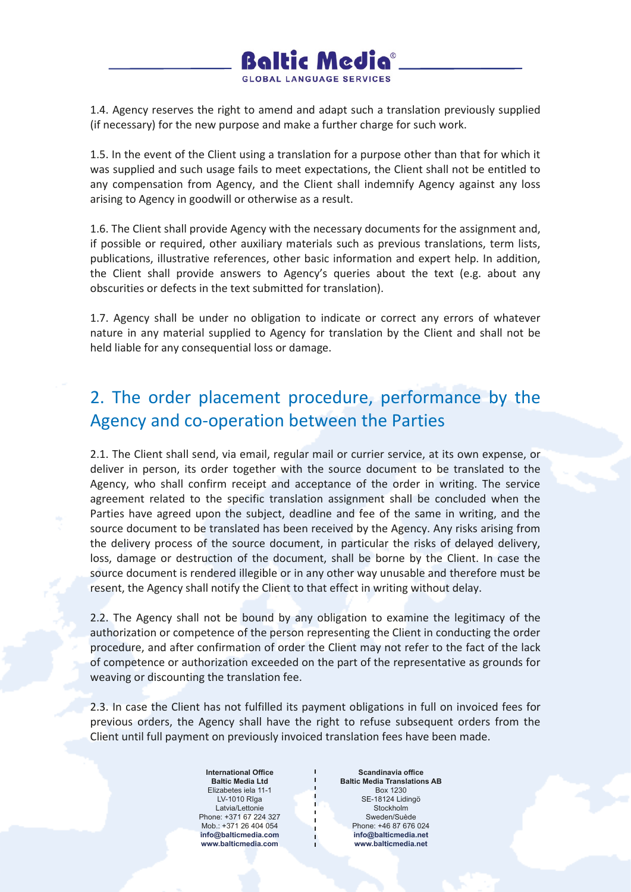

1.4. Agency reserves the right to amend and adapt such a translation previously supplied (if necessary) for the new purpose and make a further charge for such work.

1.5. In the event of the Client using a translation for a purpose other than that for which it was supplied and such usage fails to meet expectations, the Client shall not be entitled to any compensation from Agency, and the Client shall indemnify Agency against any loss arising to Agency in goodwill or otherwise as a result.

1.6. The Client shall provide Agency with the necessary documents for the assignment and, if possible or required, other auxiliary materials such as previous translations, term lists, publications, illustrative references, other basic information and expert help. In addition, the Client shall provide answers to Agency's queries about the text (e.g. about any obscurities or defects in the text submitted for translation).

1.7. Agency shall be under no obligation to indicate or correct any errors of whatever nature in any material supplied to Agency for translation by the Client and shall not be held liable for any consequential loss or damage.

## 2. The order placement procedure, performance by the Agency and co-operation between the Parties

2.1. The Client shall send, via email, regular mail or currier service, at its own expense, or deliver in person, its order together with the source document to be translated to the Agency, who shall confirm receipt and acceptance of the order in writing. The service agreement related to the specific translation assignment shall be concluded when the Parties have agreed upon the subject, deadline and fee of the same in writing, and the source document to be translated has been received by the Agency. Any risks arising from the delivery process of the source document, in particular the risks of delayed delivery, loss, damage or destruction of the document, shall be borne by the Client. In case the source document is rendered illegible or in any other way unusable and therefore must be resent, the Agency shall notify the Client to that effect in writing without delay.

2.2. The Agency shall not be bound by any obligation to examine the legitimacy of the authorization or competence of the person representing the Client in conducting the order procedure, and after confirmation of order the Client may not refer to the fact of the lack of competence or authorization exceeded on the part of the representative as grounds for weaving or discounting the translation fee.

2.3. In case the Client has not fulfilled its payment obligations in full on invoiced fees for previous orders, the Agency shall have the right to refuse subsequent orders from the Client until full payment on previously invoiced translation fees have been made.

> **International Office Baltic Media Ltd** Elizabetes iela 11-1 LV-1010 Rīga Latvia/Lettonie Phone: +371 67 224 327 Mob.: +371 26 404 054 **info@balticmedia.com www.balticmedia.com**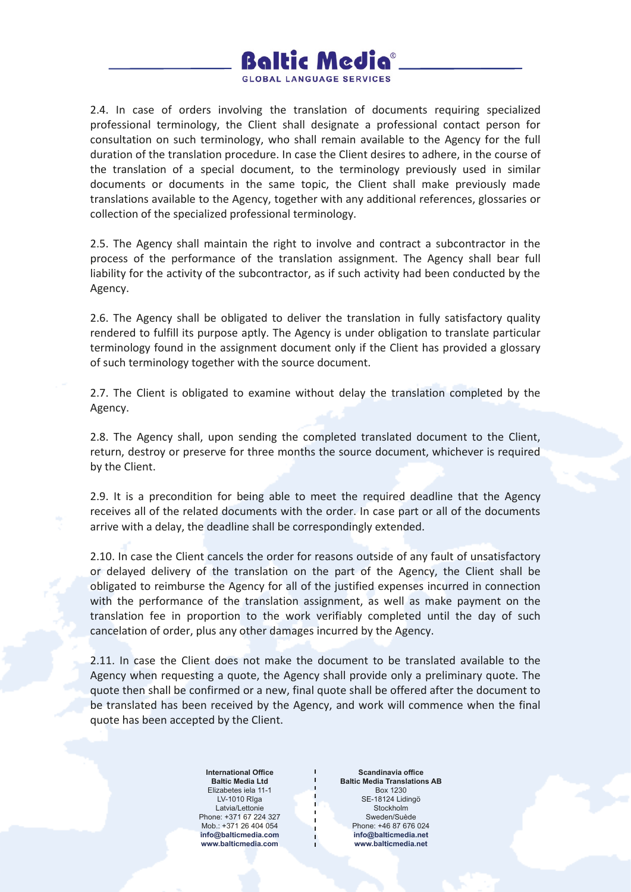

2.4. In case of orders involving the translation of documents requiring specialized professional terminology, the Client shall designate a professional contact person for consultation on such terminology, who shall remain available to the Agency for the full duration of the translation procedure. In case the Client desires to adhere, in the course of the translation of a special document, to the terminology previously used in similar documents or documents in the same topic, the Client shall make previously made translations available to the Agency, together with any additional references, glossaries or collection of the specialized professional terminology.

2.5. The Agency shall maintain the right to involve and contract a subcontractor in the process of the performance of the translation assignment. The Agency shall bear full liability for the activity of the subcontractor, as if such activity had been conducted by the Agency.

2.6. The Agency shall be obligated to deliver the translation in fully satisfactory quality rendered to fulfill its purpose aptly. The Agency is under obligation to translate particular terminology found in the assignment document only if the Client has provided a glossary of such terminology together with the source document.

2.7. The Client is obligated to examine without delay the translation completed by the Agency.

2.8. The Agency shall, upon sending the completed translated document to the Client, return, destroy or preserve for three months the source document, whichever is required by the Client.

2.9. It is a precondition for being able to meet the required deadline that the Agency receives all of the related documents with the order. In case part or all of the documents arrive with a delay, the deadline shall be correspondingly extended.

2.10. In case the Client cancels the order for reasons outside of any fault of unsatisfactory or delayed delivery of the translation on the part of the Agency, the Client shall be obligated to reimburse the Agency for all of the justified expenses incurred in connection with the performance of the translation assignment, as well as make payment on the translation fee in proportion to the work verifiably completed until the day of such cancelation of order, plus any other damages incurred by the Agency.

2.11. In case the Client does not make the document to be translated available to the Agency when requesting a quote, the Agency shall provide only a preliminary quote. The quote then shall be confirmed or a new, final quote shall be offered after the document to be translated has been received by the Agency, and work will commence when the final quote has been accepted by the Client.

> **International Office Baltic Media Ltd** Elizabetes iela 11-1 LV-1010 Rīga Latvia/Lettonie Phone: +371 67 224 327 Mob.: +371 26 404 054 **info@balticmedia.com www.balticmedia.com**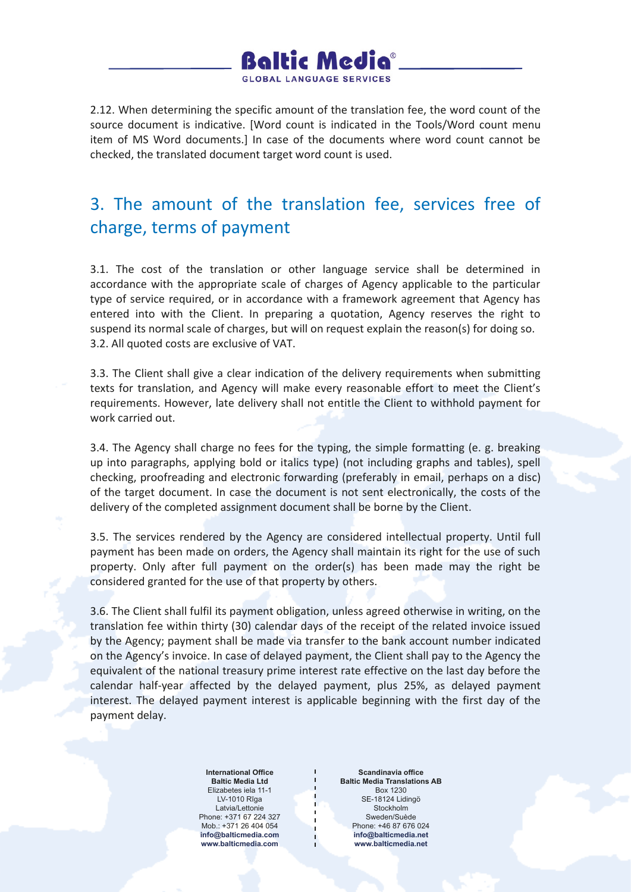

2.12. When determining the specific amount of the translation fee, the word count of the source document is indicative. [Word count is indicated in the Tools/Word count menu item of MS Word documents.] In case of the documents where word count cannot be checked, the translated document target word count is used.

# 3. The amount of the translation fee, services free of charge, terms of payment

3.1. The cost of the translation or other language service shall be determined in accordance with the appropriate scale of charges of Agency applicable to the particular type of service required, or in accordance with a framework agreement that Agency has entered into with the Client. In preparing a quotation, Agency reserves the right to suspend its normal scale of charges, but will on request explain the reason(s) for doing so. 3.2. All quoted costs are exclusive of VAT.

3.3. The Client shall give a clear indication of the delivery requirements when submitting texts for translation, and Agency will make every reasonable effort to meet the Client's requirements. However, late delivery shall not entitle the Client to withhold payment for work carried out.

3.4. The Agency shall charge no fees for the typing, the simple formatting (e. g. breaking up into paragraphs, applying bold or italics type) (not including graphs and tables), spell checking, proofreading and electronic forwarding (preferably in email, perhaps on a disc) of the target document. In case the document is not sent electronically, the costs of the delivery of the completed assignment document shall be borne by the Client.

3.5. The services rendered by the Agency are considered intellectual property. Until full payment has been made on orders, the Agency shall maintain its right for the use of such property. Only after full payment on the order(s) has been made may the right be considered granted for the use of that property by others.

3.6. The Client shall fulfil its payment obligation, unless agreed otherwise in writing, on the translation fee within thirty (30) calendar days of the receipt of the related invoice issued by the Agency; payment shall be made via transfer to the bank account number indicated on the Agency's invoice. In case of delayed payment, the Client shall pay to the Agency the equivalent of the national treasury prime interest rate effective on the last day before the calendar half-year affected by the delayed payment, plus 25%, as delayed payment interest. The delayed payment interest is applicable beginning with the first day of the payment delay.

> **International Office Baltic Media Ltd** Elizabetes iela 11-1 LV-1010 Rīga Latvia/Lettonie Phone: +371 67 224 327 Mob.: +371 26 404 054 **info@balticmedia.com www.balticmedia.com**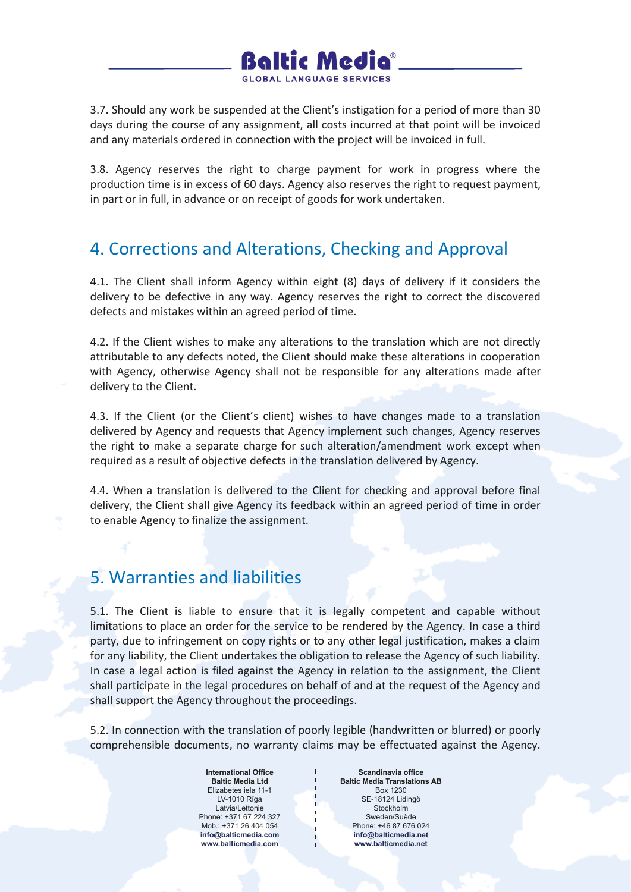

3.7. Should any work be suspended at the Client's instigation for a period of more than 30 days during the course of any assignment, all costs incurred at that point will be invoiced and any materials ordered in connection with the project will be invoiced in full.

3.8. Agency reserves the right to charge payment for work in progress where the production time is in excess of 60 days. Agency also reserves the right to request payment, in part or in full, in advance or on receipt of goods for work undertaken.

### 4. Corrections and Alterations, Checking and Approval

4.1. The Client shall inform Agency within eight (8) days of delivery if it considers the delivery to be defective in any way. Agency reserves the right to correct the discovered defects and mistakes within an agreed period of time.

4.2. If the Client wishes to make any alterations to the translation which are not directly attributable to any defects noted, the Client should make these alterations in cooperation with Agency, otherwise Agency shall not be responsible for any alterations made after delivery to the Client.

4.3. If the Client (or the Client's client) wishes to have changes made to a translation delivered by Agency and requests that Agency implement such changes, Agency reserves the right to make a separate charge for such alteration/amendment work except when required as a result of objective defects in the translation delivered by Agency.

4.4. When a translation is delivered to the Client for checking and approval before final delivery, the Client shall give Agency its feedback within an agreed period of time in order to enable Agency to finalize the assignment.

#### 5. Warranties and liabilities

5.1. The Client is liable to ensure that it is legally competent and capable without limitations to place an order for the service to be rendered by the Agency. In case a third party, due to infringement on copy rights or to any other legal justification, makes a claim for any liability, the Client undertakes the obligation to release the Agency of such liability. In case a legal action is filed against the Agency in relation to the assignment, the Client shall participate in the legal procedures on behalf of and at the request of the Agency and shall support the Agency throughout the proceedings.

5.2. In connection with the translation of poorly legible (handwritten or blurred) or poorly comprehensible documents, no warranty claims may be effectuated against the Agency.

> **International Office Baltic Media Ltd** Elizabetes iela 11-1 LV-1010 Rīga Latvia/Lettonie Phone: +371 67 224 327 Mob.: +371 26 404 054 **info@balticmedia.com www.balticmedia.com**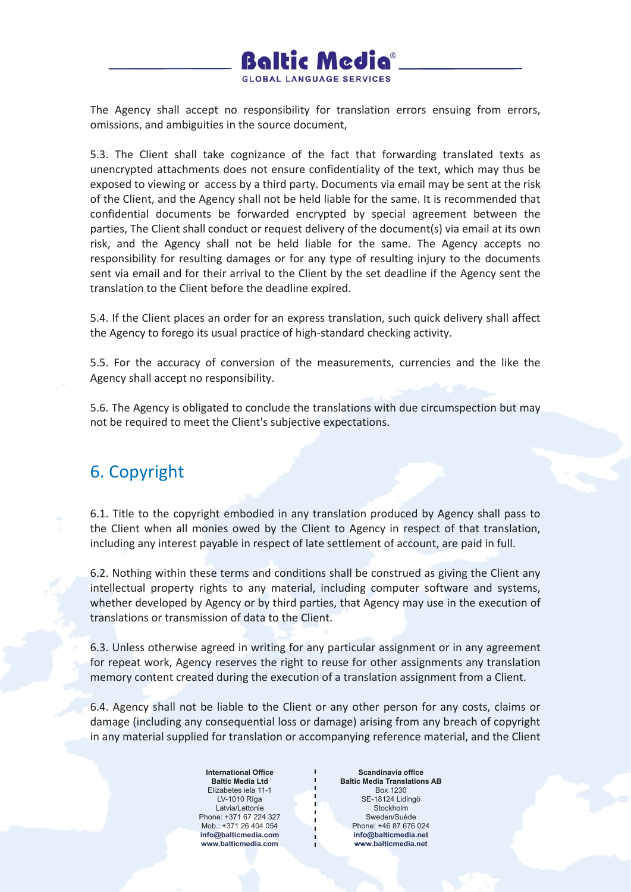

The Agency shall accept no responsibility for translation errors ensuing from errors, omissions, and ambiguities in the source document,

5.3. The Client shall take cognizance of the fact that forwarding translated texts as unencrypted attachments does not ensure confidentiality of the text, which may thus be exposed to viewing or access by a third party. Documents via email may be sent at the risk of the Client, and the Agency shall not be held liable for the same. It is recommended that confidential documents be forwarded encrypted by special agreement between the parties, The Client shall conduct or request delivery of the document(s) via email at its own risk, and the Agency shall not be held liable for the same. The Agency accepts no responsibility for resulting damages or for any type of resulting injury to the documents sent via email and for their arrival to the Client by the set deadline if the Agency sent the translation to the Client before the deadline expired.

5.4. If the Client places an order for an express translation, such quick delivery shall affect the Agency to forego its usual practice of high-standard checking activity.

5.5. For the accuracy of conversion of the measurements, currencies and the like the Agency shall accept no responsibility.

5.6. The Agency is obligated to conclude the translations with due circumspection but may not be required to meet the Client's subjective expectations.

#### 6. Copyright

6.1. Title to the copyright embodied in any translation produced by Agency shall pass to the Client when all monies owed by the Client to Agency in respect of that translation, including any interest payable in respect of late settlement of account, are paid in full.

6.2. Nothing within these terms and conditions shall be construed as giving the Client any intellectual property rights to any material, including computer software and systems, whether developed by Agency or by third parties, that Agency may use in the execution of translations or transmission of data to the Client.

6.3. Unless otherwise agreed in writing for any particular assignment or in any agreement for repeat work, Agency reserves the right to reuse for other assignments any translation memory content created during the execution of a translation assignment from a Client.

6.4. Agency shall not be liable to the Client or any other person for any costs, claims or damage (including any consequential loss or damage) arising from any breach of copyright in any material supplied for translation or accompanying reference material, and the Client

> **International Office Baltic Media Ltd** Elizabetes iela 11-1 LV-1010 Rīga Latvia/Lettonie Phone: +371 67 224 327 Mob.: +371 26 404 054 **info@balticmedia.com www.balticmedia.com**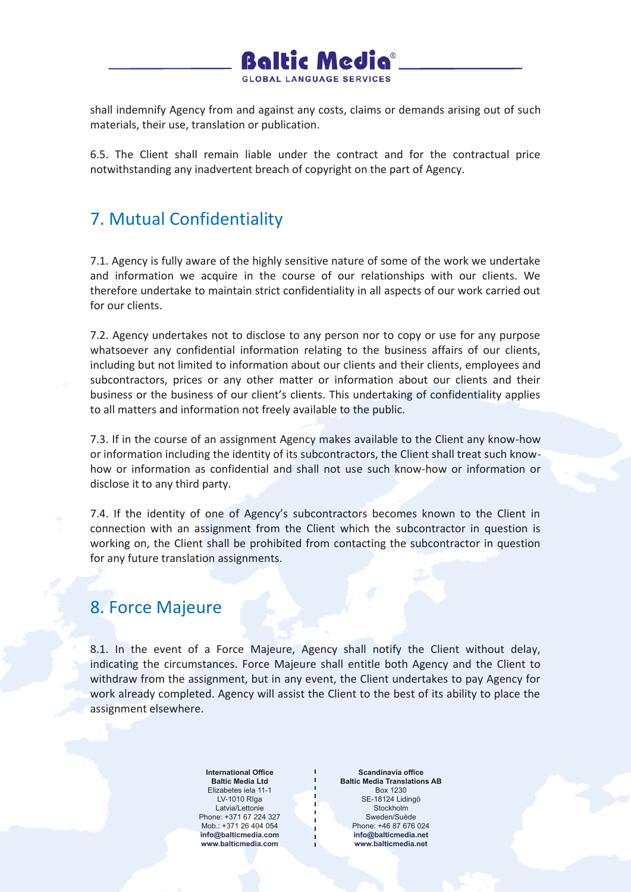

shall indemnify Agency from and against any costs, claims or demands arising out of such materials, their use, translation or publication.

6.5. The Client shall remain liable under the contract and for the contractual price notwithstanding any inadvertent breach of copyright on the part of Agency.

## 7. Mutual Confidentiality

7.1. Agency is fully aware of the highly sensitive nature of some of the work we undertake and information we acquire in the course of our relationships with our clients. We therefore undertake to maintain strict confidentiality in all aspects of our work carried out for our clients.

7.2. Agency undertakes not to disclose to any person nor to copy or use for any purpose whatsoever any confidential information relating to the business affairs of our clients, including but not limited to information about our clients and their clients, employees and subcontractors, prices or any other matter or information about our clients and their business or the business of our client's clients. This undertaking of confidentiality applies to all matters and information not freely available to the public.

7.3. If in the course of an assignment Agency makes available to the Client any know-how or information including the identity of its subcontractors, the Client shall treat such knowhow or information as confidential and shall not use such know-how or information or disclose it to any third party.

7.4. If the identity of one of Agency's subcontractors becomes known to the Client in connection with an assignment from the Client which the subcontractor in question is working on, the Client shall be prohibited from contacting the subcontractor in question for any future translation assignments.

#### 8. Force Majeure

8.1. In the event of a Force Majeure, Agency shall notify the Client without delay, indicating the circumstances. Force Majeure shall entitle both Agency and the Client to withdraw from the assignment, but in any event, the Client undertakes to pay Agency for work already completed. Agency will assist the Client to the best of its ability to place the assignment elsewhere.

> **International Office Baltic Media Ltd** Elizabetes iela 11-1 LV-1010 Rīga Latvia/Lettonie Phone: +371 67 224 327 Mob.: +371 26 404 054 **info@balticmedia.com www.balticmedia.com**